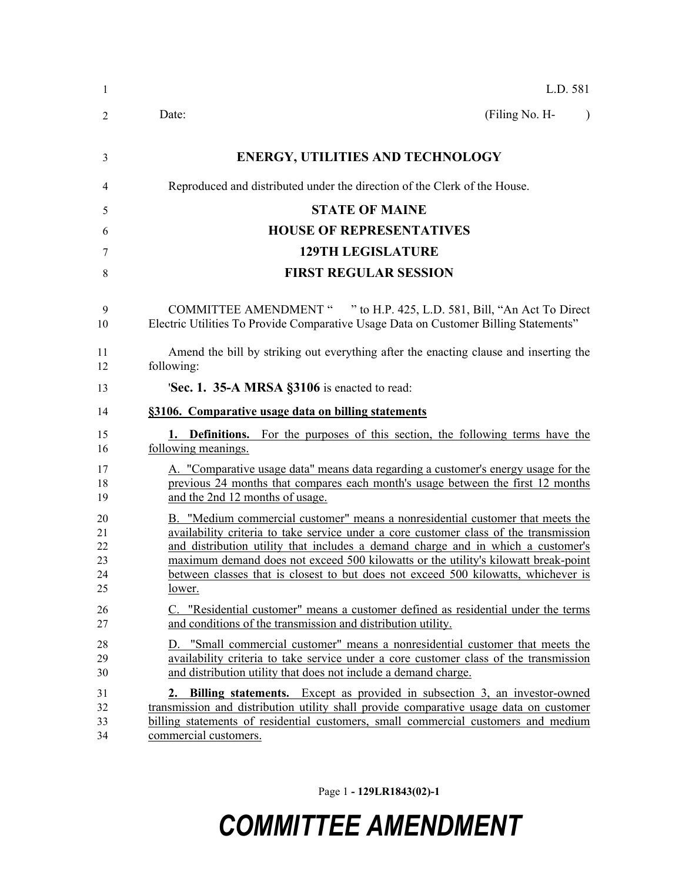| $\mathbf{1}$                     | L.D. 581                                                                                                                                                                                                                                                                                                                                                                                                                                          |
|----------------------------------|---------------------------------------------------------------------------------------------------------------------------------------------------------------------------------------------------------------------------------------------------------------------------------------------------------------------------------------------------------------------------------------------------------------------------------------------------|
| 2                                | (Filing No. H-<br>Date:<br>$\lambda$                                                                                                                                                                                                                                                                                                                                                                                                              |
| 3                                | <b>ENERGY, UTILITIES AND TECHNOLOGY</b>                                                                                                                                                                                                                                                                                                                                                                                                           |
| 4                                | Reproduced and distributed under the direction of the Clerk of the House.                                                                                                                                                                                                                                                                                                                                                                         |
| 5                                | <b>STATE OF MAINE</b>                                                                                                                                                                                                                                                                                                                                                                                                                             |
| 6                                | <b>HOUSE OF REPRESENTATIVES</b>                                                                                                                                                                                                                                                                                                                                                                                                                   |
| 7                                | <b>129TH LEGISLATURE</b>                                                                                                                                                                                                                                                                                                                                                                                                                          |
| 8                                | <b>FIRST REGULAR SESSION</b>                                                                                                                                                                                                                                                                                                                                                                                                                      |
| 9<br>10                          | " to H.P. 425, L.D. 581, Bill, "An Act To Direct"<br><b>COMMITTEE AMENDMENT "</b><br>Electric Utilities To Provide Comparative Usage Data on Customer Billing Statements"                                                                                                                                                                                                                                                                         |
| 11<br>12                         | Amend the bill by striking out everything after the enacting clause and inserting the<br>following:                                                                                                                                                                                                                                                                                                                                               |
| 13                               | 'Sec. 1. 35-A MRSA §3106 is enacted to read:                                                                                                                                                                                                                                                                                                                                                                                                      |
| 14                               | §3106. Comparative usage data on billing statements                                                                                                                                                                                                                                                                                                                                                                                               |
| 15<br>16                         | <b>1. Definitions.</b> For the purposes of this section, the following terms have the<br>following meanings.                                                                                                                                                                                                                                                                                                                                      |
| 17<br>18<br>19                   | A. "Comparative usage data" means data regarding a customer's energy usage for the<br>previous 24 months that compares each month's usage between the first 12 months<br>and the 2nd 12 months of usage.                                                                                                                                                                                                                                          |
| 20<br>21<br>22<br>23<br>24<br>25 | B. "Medium commercial customer" means a nonresidential customer that meets the<br>availability criteria to take service under a core customer class of the transmission<br>and distribution utility that includes a demand charge and in which a customer's<br>maximum demand does not exceed 500 kilowatts or the utility's kilowatt break-point<br>between classes that is closest to but does not exceed 500 kilowatts, whichever is<br>lower. |
| 26<br>27                         | C. "Residential customer" means a customer defined as residential under the terms<br>and conditions of the transmission and distribution utility.                                                                                                                                                                                                                                                                                                 |
| 28<br>29<br>30                   | D. "Small commercial customer" means a nonresidential customer that meets the<br>availability criteria to take service under a core customer class of the transmission<br>and distribution utility that does not include a demand charge.                                                                                                                                                                                                         |
| 31<br>32<br>33<br>34             | <b>Billing statements.</b> Except as provided in subsection 3, an investor-owned<br>2.<br>transmission and distribution utility shall provide comparative usage data on customer<br>billing statements of residential customers, small commercial customers and medium<br>commercial customers.                                                                                                                                                   |

Page 1 **- 129LR1843(02)-1**

## *COMMITTEE AMENDMENT*